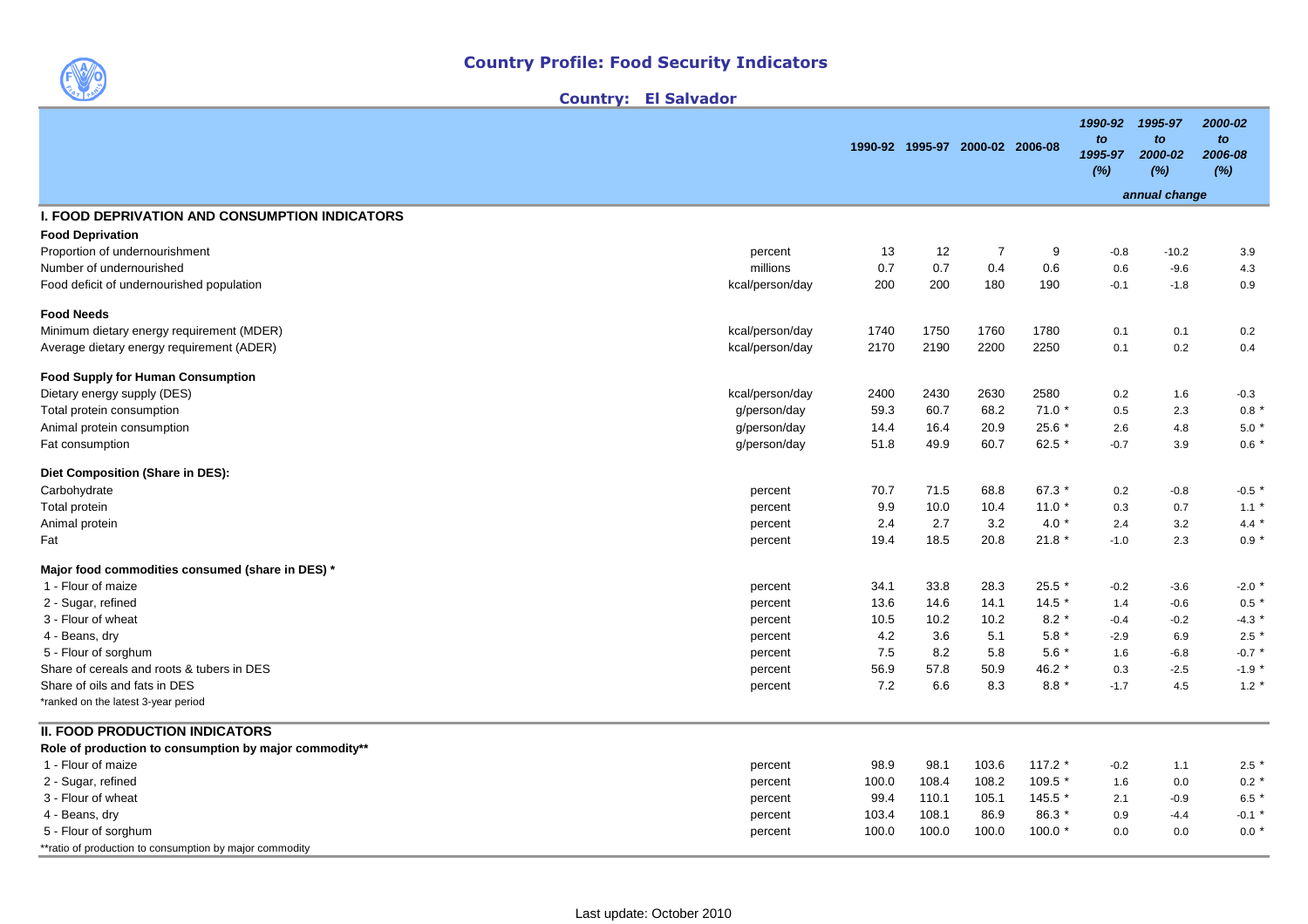

| Country: |  | <b>El Salvador</b> |  |  |
|----------|--|--------------------|--|--|
|----------|--|--------------------|--|--|

|                                                         |                 |       |       | 1990-92 1995-97 2000-02 2006-08 |          | 1990-92<br>to<br>1995-97<br>(%) | 1995-97<br>to<br>2000-02<br>(%) | 2000-02<br>to<br>2006-08<br>(%) |
|---------------------------------------------------------|-----------------|-------|-------|---------------------------------|----------|---------------------------------|---------------------------------|---------------------------------|
|                                                         |                 |       |       |                                 |          |                                 | annual change                   |                                 |
| <b>I. FOOD DEPRIVATION AND CONSUMPTION INDICATORS</b>   |                 |       |       |                                 |          |                                 |                                 |                                 |
| <b>Food Deprivation</b>                                 |                 |       |       |                                 |          |                                 |                                 |                                 |
| Proportion of undernourishment                          | percent         | 13    | 12    | $\overline{7}$                  | 9        | $-0.8$                          | $-10.2$                         | 3.9                             |
| Number of undernourished                                | millions        | 0.7   | 0.7   | 0.4                             | 0.6      | 0.6                             | $-9.6$                          | 4.3                             |
| Food deficit of undernourished population               | kcal/person/day | 200   | 200   | 180                             | 190      | $-0.1$                          | $-1.8$                          | 0.9                             |
| <b>Food Needs</b>                                       |                 |       |       |                                 |          |                                 |                                 |                                 |
| Minimum dietary energy requirement (MDER)               | kcal/person/day | 1740  | 1750  | 1760                            | 1780     | 0.1                             | 0.1                             | 0.2                             |
| Average dietary energy requirement (ADER)               | kcal/person/day | 2170  | 2190  | 2200                            | 2250     | 0.1                             | 0.2                             | 0.4                             |
| <b>Food Supply for Human Consumption</b>                |                 |       |       |                                 |          |                                 |                                 |                                 |
| Dietary energy supply (DES)                             | kcal/person/day | 2400  | 2430  | 2630                            | 2580     | 0.2                             | 1.6                             | $-0.3$                          |
| Total protein consumption                               | g/person/day    | 59.3  | 60.7  | 68.2                            | $71.0*$  | 0.5                             | 2.3                             | 0.8                             |
| Animal protein consumption                              | g/person/day    | 14.4  | 16.4  | 20.9                            | $25.6*$  | 2.6                             | 4.8                             | 5.0                             |
| Fat consumption                                         | g/person/day    | 51.8  | 49.9  | 60.7                            | 62.5 $*$ | $-0.7$                          | 3.9                             | $0.6*$                          |
| Diet Composition (Share in DES):                        |                 |       |       |                                 |          |                                 |                                 |                                 |
| Carbohydrate                                            | percent         | 70.7  | 71.5  | 68.8                            | 67.3 *   | 0.2                             | $-0.8$                          | $-0.5$ *                        |
| Total protein                                           | percent         | 9.9   | 10.0  | 10.4                            | $11.0*$  | 0.3                             | 0.7                             | $1.1$ $*$                       |
| Animal protein                                          | percent         | 2.4   | 2.7   | 3.2                             | $4.0*$   | 2.4                             | 3.2                             | 4.4 $*$                         |
| Fat                                                     | percent         | 19.4  | 18.5  | 20.8                            | $21.8*$  | $-1.0$                          | 2.3                             | $0.9*$                          |
| Major food commodities consumed (share in DES) *        |                 |       |       |                                 |          |                                 |                                 |                                 |
| 1 - Flour of maize                                      | percent         | 34.1  | 33.8  | 28.3                            | $25.5*$  | $-0.2$                          | $-3.6$                          | $-2.0$ $*$                      |
| 2 - Sugar, refined                                      | percent         | 13.6  | 14.6  | 14.1                            | $14.5*$  | 1.4                             | $-0.6$                          | 0.5                             |
| 3 - Flour of wheat                                      | percent         | 10.5  | 10.2  | 10.2                            | $8.2*$   | $-0.4$                          | $-0.2$                          | $-4.3$ *                        |
| 4 - Beans, dry                                          | percent         | 4.2   | 3.6   | 5.1                             | $5.8*$   | $-2.9$                          | 6.9                             | 2.5                             |
| 5 - Flour of sorghum                                    | percent         | 7.5   | 8.2   | 5.8                             | $5.6*$   | 1.6                             | $-6.8$                          | $-0.7$                          |
| Share of cereals and roots & tubers in DES              | percent         | 56.9  | 57.8  | 50.9                            | 46.2 *   | 0.3                             | $-2.5$                          | $-1.9$ <sup>*</sup>             |
| Share of oils and fats in DES                           | percent         | 7.2   | 6.6   | 8.3                             | $8.8*$   | $-1.7$                          | 4.5                             | $1.2 *$                         |
| *ranked on the latest 3-year period                     |                 |       |       |                                 |          |                                 |                                 |                                 |
| II. FOOD PRODUCTION INDICATORS                          |                 |       |       |                                 |          |                                 |                                 |                                 |
| Role of production to consumption by major commodity**  |                 |       |       |                                 |          |                                 |                                 |                                 |
| 1 - Flour of maize                                      | percent         | 98.9  | 98.1  | 103.6                           | $117.2*$ | $-0.2$                          | 1.1                             | 2.5                             |
| 2 - Sugar, refined                                      | percent         | 100.0 | 108.4 | 108.2                           | $109.5*$ | 1.6                             | 0.0                             | $0.2$ $*$                       |
| 3 - Flour of wheat                                      | percent         | 99.4  | 110.1 | 105.1                           | 145.5 *  | 2.1                             | $-0.9$                          | 6.5                             |
| 4 - Beans, dry                                          | percent         | 103.4 | 108.1 | 86.9                            | 86.3 *   | 0.9                             | $-4.4$                          | $-0.1$ $*$                      |
| 5 - Flour of sorghum                                    | percent         | 100.0 | 100.0 | 100.0                           | $100.0*$ | 0.0                             | 0.0                             | $0.0$ $*$                       |
| **ratio of production to consumption by major commodity |                 |       |       |                                 |          |                                 |                                 |                                 |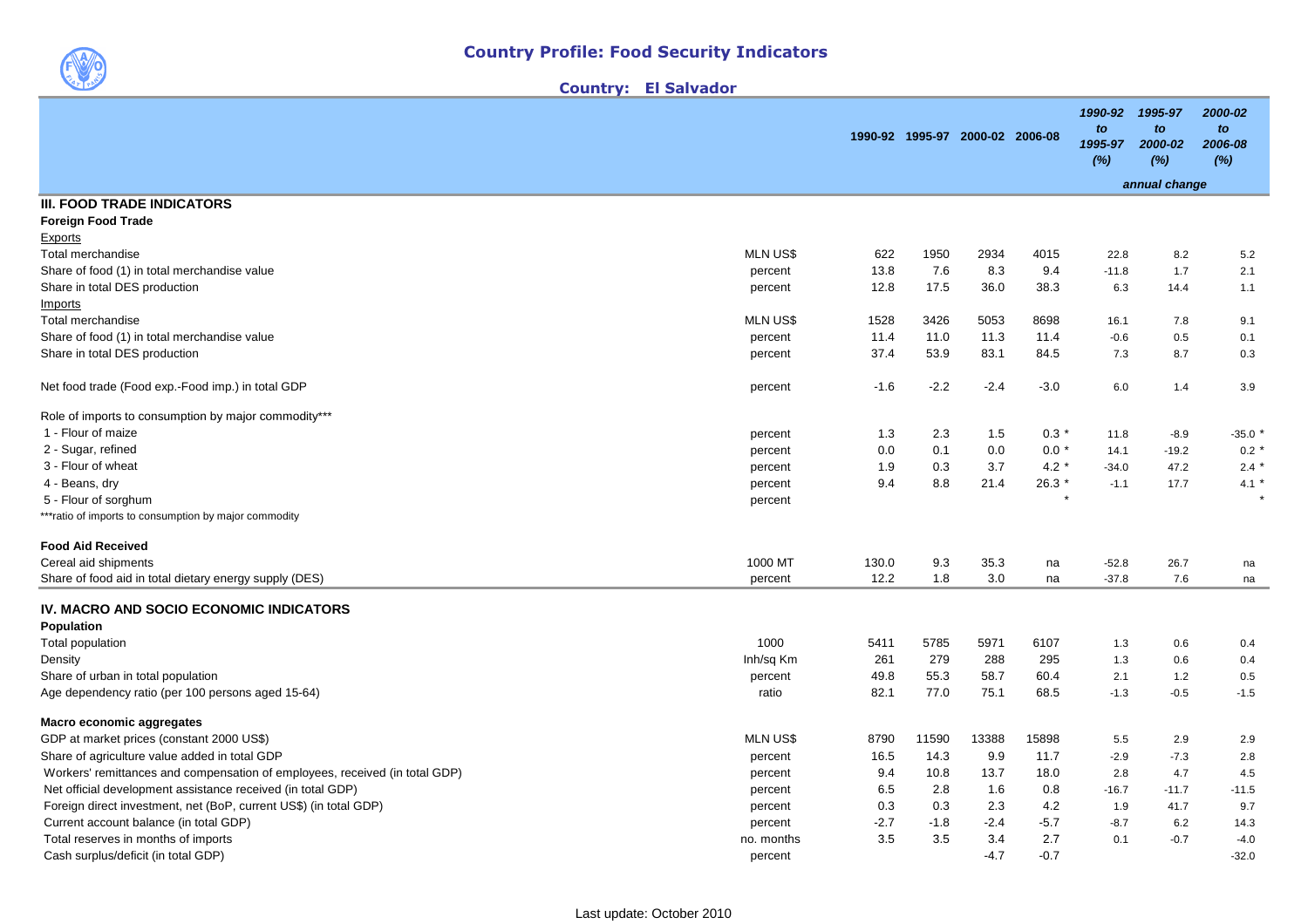Country: El Salvador

|                                                                                         |                  |              |                                 |              |              | 1990-92              | 1995-97              | 2000-02              |
|-----------------------------------------------------------------------------------------|------------------|--------------|---------------------------------|--------------|--------------|----------------------|----------------------|----------------------|
|                                                                                         |                  |              | 1990-92 1995-97 2000-02 2006-08 |              |              | to<br>1995-97<br>(%) | to<br>2000-02<br>(%) | to<br>2006-08<br>(%) |
|                                                                                         |                  |              |                                 |              |              |                      | annual change        |                      |
| <b>III. FOOD TRADE INDICATORS</b>                                                       |                  |              |                                 |              |              |                      |                      |                      |
| <b>Foreign Food Trade</b>                                                               |                  |              |                                 |              |              |                      |                      |                      |
| Exports                                                                                 |                  |              |                                 |              |              |                      |                      |                      |
| Total merchandise                                                                       | <b>MLN US\$</b>  | 622          | 1950                            | 2934         | 4015         | 22.8                 | 8.2                  | 5.2                  |
| Share of food (1) in total merchandise value                                            | percent          | 13.8         | 7.6                             | 8.3          | 9.4          | $-11.8$              | 1.7                  | 2.1                  |
| Share in total DES production                                                           | percent          | 12.8         | 17.5                            | 36.0         | 38.3         | 6.3                  | 14.4                 | 1.1                  |
| Imports                                                                                 |                  |              |                                 |              |              |                      |                      |                      |
| Total merchandise                                                                       | <b>MLN US\$</b>  | 1528         | 3426                            | 5053         | 8698         | 16.1                 | 7.8                  | 9.1                  |
| Share of food (1) in total merchandise value                                            | percent          | 11.4         | 11.0                            | 11.3         | 11.4         | $-0.6$               | 0.5                  | 0.1                  |
| Share in total DES production                                                           | percent          | 37.4         | 53.9                            | 83.1         | 84.5         | 7.3                  | 8.7                  | 0.3                  |
| Net food trade (Food exp.-Food imp.) in total GDP                                       | percent          | $-1.6$       | $-2.2$                          | $-2.4$       | $-3.0$       | 6.0                  | 1.4                  | 3.9                  |
| Role of imports to consumption by major commodity***                                    |                  |              |                                 |              |              |                      |                      |                      |
| 1 - Flour of maize                                                                      | percent          | 1.3          | 2.3                             | 1.5          | $0.3*$       | 11.8                 | $-8.9$               | $-35.0$              |
| 2 - Sugar, refined                                                                      | percent          | 0.0          | 0.1                             | 0.0          | $0.0*$       | 14.1                 | $-19.2$              | $0.2 *$              |
| 3 - Flour of wheat                                                                      | percent          | 1.9          | 0.3                             | 3.7          | $4.2*$       | $-34.0$              | 47.2                 | $2.4$ *              |
| 4 - Beans, dry                                                                          | percent          | 9.4          | 8.8                             | 21.4         | 26.3 *       | $-1.1$               | 17.7                 | 4.1 $*$              |
| 5 - Flour of sorghum                                                                    | percent          |              |                                 |              | $\star$      |                      |                      |                      |
| *** ratio of imports to consumption by major commodity                                  |                  |              |                                 |              |              |                      |                      |                      |
| <b>Food Aid Received</b>                                                                |                  |              |                                 |              |              |                      |                      |                      |
| Cereal aid shipments                                                                    | 1000 MT          | 130.0        | 9.3                             | 35.3         | na           | $-52.8$              | 26.7                 | na                   |
| Share of food aid in total dietary energy supply (DES)                                  | percent          | 12.2         | 1.8                             | 3.0          | na           | $-37.8$              | 7.6                  | na                   |
| IV. MACRO AND SOCIO ECONOMIC INDICATORS                                                 |                  |              |                                 |              |              |                      |                      |                      |
| Population                                                                              |                  |              |                                 |              |              |                      |                      |                      |
| Total population                                                                        | 1000             | 5411         | 5785<br>279                     | 5971         | 6107         | 1.3                  | 0.6                  | 0.4                  |
| Density                                                                                 | Inh/sq Km        | 261          |                                 | 288          | 295          | 1.3                  | 0.6                  | 0.4                  |
| Share of urban in total population<br>Age dependency ratio (per 100 persons aged 15-64) | percent<br>ratio | 49.8<br>82.1 | 55.3<br>77.0                    | 58.7<br>75.1 | 60.4<br>68.5 | 2.1<br>$-1.3$        | $1.2$<br>$-0.5$      | 0.5<br>$-1.5$        |
| Macro economic aggregates                                                               |                  |              |                                 |              |              |                      |                      |                      |
| GDP at market prices (constant 2000 US\$)                                               | <b>MLN US\$</b>  | 8790         | 11590                           | 13388        | 15898        | 5.5                  | 2.9                  | 2.9                  |
| Share of agriculture value added in total GDP                                           | percent          | 16.5         | 14.3                            | 9.9          | 11.7         | $-2.9$               | $-7.3$               | 2.8                  |
| Workers' remittances and compensation of employees, received (in total GDP)             | percent          | 9.4          | 10.8                            | 13.7         | 18.0         | 2.8                  | 4.7                  | 4.5                  |
| Net official development assistance received (in total GDP)                             | percent          | 6.5          | 2.8                             | 1.6          | 0.8          | $-16.7$              | $-11.7$              | $-11.5$              |
| Foreign direct investment, net (BoP, current US\$) (in total GDP)                       | percent          | 0.3          | 0.3                             | 2.3          | 4.2          | 1.9                  | 41.7                 | 9.7                  |
| Current account balance (in total GDP)                                                  | percent          | $-2.7$       | $-1.8$                          | $-2.4$       | $-5.7$       | $-8.7$               | 6.2                  | 14.3                 |
| Total reserves in months of imports                                                     | no. months       | 3.5          | 3.5                             | 3.4          | 2.7          | 0.1                  | $-0.7$               | $-4.0$               |
| Cash surplus/deficit (in total GDP)                                                     | percent          |              |                                 | $-4.7$       | $-0.7$       |                      |                      | $-32.0$              |
|                                                                                         |                  |              |                                 |              |              |                      |                      |                      |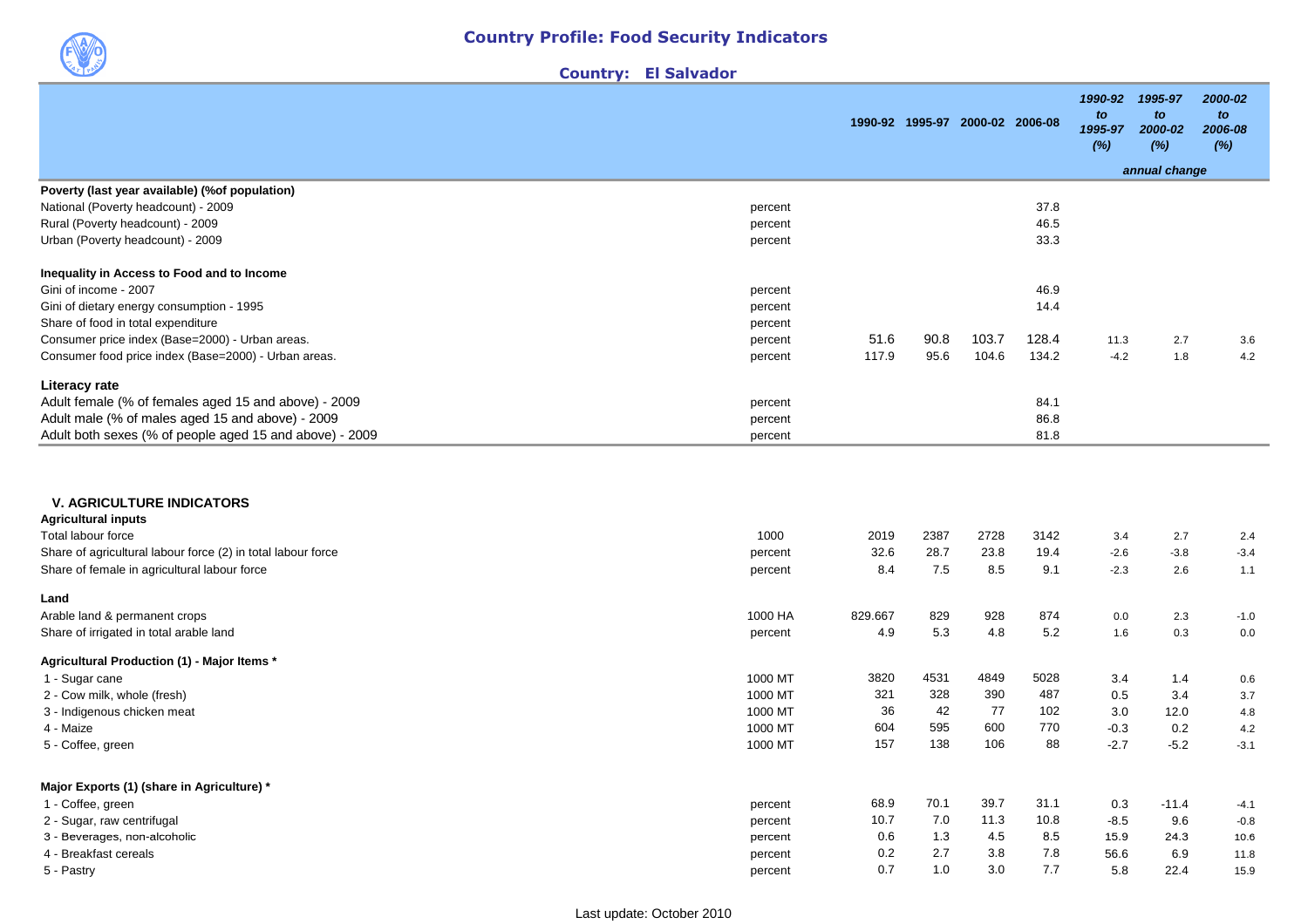

| <b>Country:</b> |  |  |  |  | <b>El Salvador</b> |  |
|-----------------|--|--|--|--|--------------------|--|
|-----------------|--|--|--|--|--------------------|--|

|                                                                         |         | 1990-92 1995-97 2000-02 2006-08 |              |              | 1990-92<br>to<br>1995-97<br>(%) | 1995-97<br>to<br>2000-02<br>(%) | 2000-02<br>to<br>2006-08<br>(%) |
|-------------------------------------------------------------------------|---------|---------------------------------|--------------|--------------|---------------------------------|---------------------------------|---------------------------------|
|                                                                         |         |                                 |              |              |                                 | annual change                   |                                 |
| Poverty (last year available) (% of population)                         |         |                                 |              |              |                                 |                                 |                                 |
| National (Poverty headcount) - 2009<br>percent                          |         |                                 |              | 37.8         |                                 |                                 |                                 |
| Rural (Poverty headcount) - 2009<br>percent                             |         |                                 |              | 46.5         |                                 |                                 |                                 |
| Urban (Poverty headcount) - 2009<br>percent                             |         |                                 |              | 33.3         |                                 |                                 |                                 |
| Inequality in Access to Food and to Income                              |         |                                 |              |              |                                 |                                 |                                 |
| Gini of income - 2007<br>percent                                        |         |                                 |              | 46.9         |                                 |                                 |                                 |
| Gini of dietary energy consumption - 1995<br>percent                    |         |                                 |              | 14.4         |                                 |                                 |                                 |
| Share of food in total expenditure<br>percent                           |         |                                 |              |              |                                 |                                 |                                 |
| Consumer price index (Base=2000) - Urban areas.<br>percent              | 51.6    | 90.8                            | 103.7        | 128.4        | 11.3                            | 2.7                             | 3.6                             |
| Consumer food price index (Base=2000) - Urban areas.<br>percent         | 117.9   | 95.6                            | 104.6        | 134.2        | $-4.2$                          | 1.8                             | 4.2                             |
| Literacy rate                                                           |         |                                 |              |              |                                 |                                 |                                 |
| Adult female (% of females aged 15 and above) - 2009<br>percent         |         |                                 |              | 84.1         |                                 |                                 |                                 |
| Adult male (% of males aged 15 and above) - 2009<br>percent             |         |                                 |              | 86.8         |                                 |                                 |                                 |
| Adult both sexes (% of people aged 15 and above) - 2009<br>percent      |         |                                 |              | 81.8         |                                 |                                 |                                 |
| <b>V. AGRICULTURE INDICATORS</b><br><b>Agricultural inputs</b>          |         |                                 |              |              |                                 |                                 |                                 |
| Total labour force<br>1000                                              | 2019    | 2387                            | 2728         | 3142         | 3.4                             | 2.7                             | 2.4                             |
| Share of agricultural labour force (2) in total labour force<br>percent | 32.6    | 28.7                            | 23.8         | 19.4         | $-2.6$                          | $-3.8$                          | $-3.4$                          |
| Share of female in agricultural labour force<br>percent                 | 8.4     | 7.5                             | 8.5          | 9.1          | $-2.3$                          | 2.6                             | 1.1                             |
| Land                                                                    |         |                                 |              |              |                                 |                                 |                                 |
| Arable land & permanent crops<br>1000 HA                                | 829.667 | 829                             | 928          | 874          | 0.0                             | 2.3                             | $-1.0$                          |
| Share of irrigated in total arable land<br>percent                      | 4.9     | 5.3                             | 4.8          | 5.2          | 1.6                             | 0.3                             | 0.0                             |
| Agricultural Production (1) - Major Items *                             |         |                                 |              |              |                                 |                                 |                                 |
| 1000 MT<br>1 - Sugar cane                                               | 3820    | 4531                            | 4849         | 5028         | 3.4                             | 1.4                             | 0.6                             |
| 1000 MT<br>2 - Cow milk, whole (fresh)                                  | 321     | 328                             | 390          | 487          | 0.5                             | 3.4                             | 3.7                             |
| 1000 MT<br>3 - Indigenous chicken meat                                  | 36      | 42                              | 77           | 102          | 3.0                             | 12.0                            | 4.8                             |
| 4 - Maize<br>1000 MT                                                    | 604     | 595                             | 600          | 770          | $-0.3$                          | 0.2                             | 4.2                             |
| 1000 MT<br>5 - Coffee, green                                            | 157     | 138                             | 106          | 88           | $-2.7$                          | $-5.2$                          | $-3.1$                          |
|                                                                         |         |                                 |              |              |                                 |                                 |                                 |
| Major Exports (1) (share in Agriculture) *                              | 68.9    | 70.1                            |              |              |                                 | $-11.4$                         |                                 |
| 1 - Coffee, green<br>percent<br>2 - Sugar, raw centrifugal              | 10.7    | 7.0                             | 39.7<br>11.3 | 31.1<br>10.8 | 0.3<br>$-8.5$                   | 9.6                             | $-4.1$<br>$-0.8$                |
| percent<br>3 - Beverages, non-alcoholic                                 | 0.6     | 1.3                             | 4.5          | 8.5          | 15.9                            | 24.3                            | 10.6                            |
| percent<br>4 - Breakfast cereals<br>percent                             | 0.2     | 2.7                             | 3.8          | 7.8          | 56.6                            | 6.9                             | 11.8                            |
| 5 - Pastry<br>percent                                                   | 0.7     | 1.0                             | 3.0          | 7.7          | 5.8                             | 22.4                            | 15.9                            |
|                                                                         |         |                                 |              |              |                                 |                                 |                                 |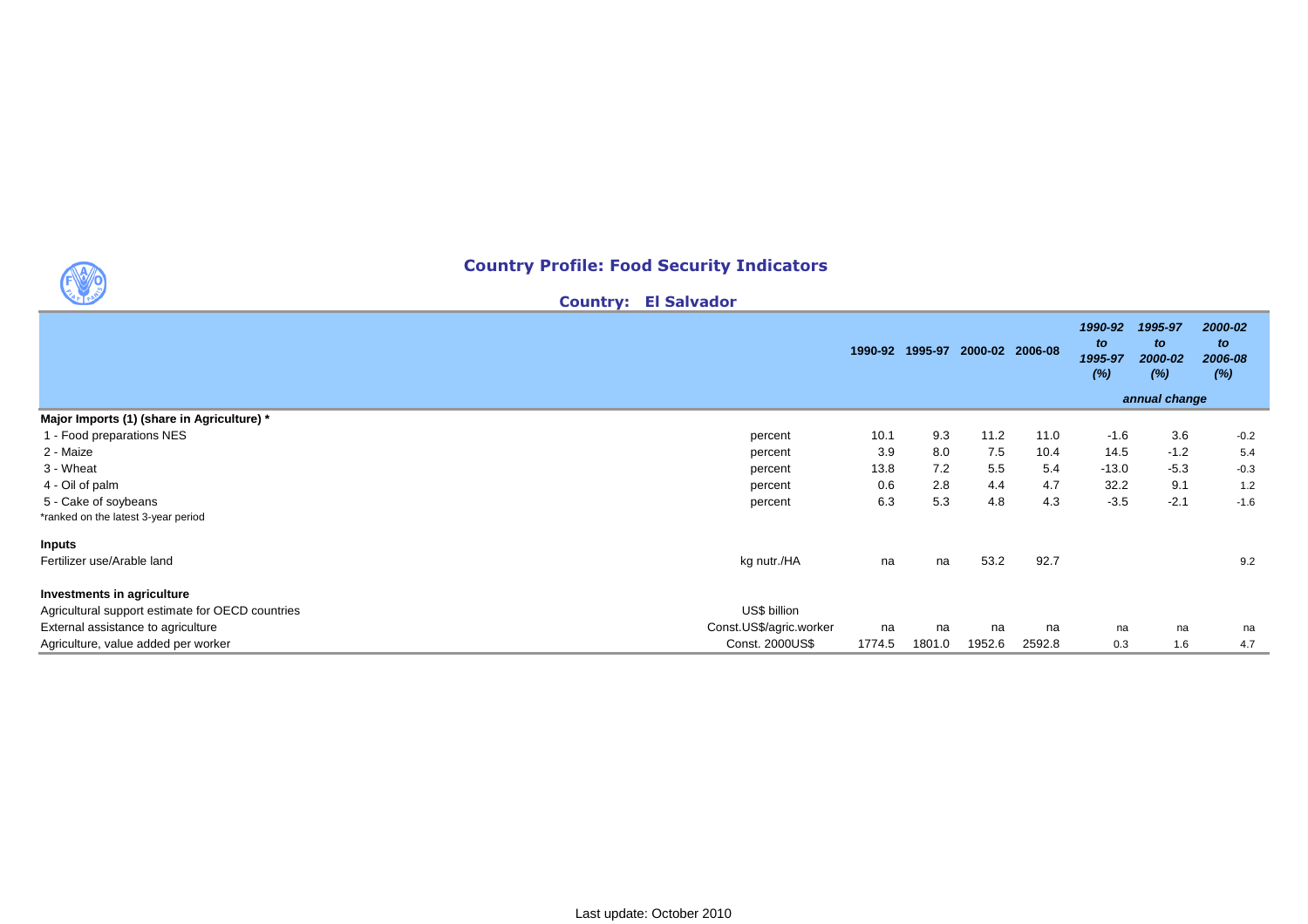## Country Profile: Food Security Indicators

Country: El Salvador

|                                                  |                         |        | 1990-92 1995-97 | 2000-02 2006-08 |        | 1990-92<br>to<br>1995-97<br>(%) | 1995-97<br>to<br>2000-02<br>(%)<br>annual change | 2000-02<br>to<br>2006-08<br>(%) |
|--------------------------------------------------|-------------------------|--------|-----------------|-----------------|--------|---------------------------------|--------------------------------------------------|---------------------------------|
| Major Imports (1) (share in Agriculture) *       |                         |        |                 |                 |        |                                 |                                                  |                                 |
| 1 - Food preparations NES                        | percent                 | 10.1   | 9.3             | 11.2            | 11.0   | $-1.6$                          | 3.6                                              | $-0.2$                          |
| 2 - Maize                                        | percent                 | 3.9    | 8.0             | 7.5             | 10.4   | 14.5                            | $-1.2$                                           | 5.4                             |
| 3 - Wheat                                        | percent                 | 13.8   | 7.2             | 5.5             | 5.4    | $-13.0$                         | $-5.3$                                           | $-0.3$                          |
| 4 - Oil of palm                                  | percent                 | 0.6    | 2.8             | 4.4             | 4.7    | 32.2                            | 9.1                                              | $1.2$                           |
| 5 - Cake of soybeans                             | percent                 | 6.3    | 5.3             | 4.8             | 4.3    | $-3.5$                          | $-2.1$                                           | $-1.6$                          |
| *ranked on the latest 3-year period              |                         |        |                 |                 |        |                                 |                                                  |                                 |
| <b>Inputs</b>                                    |                         |        |                 |                 |        |                                 |                                                  |                                 |
| Fertilizer use/Arable land                       | kg nutr./HA             | na     | na              | 53.2            | 92.7   |                                 |                                                  | 9.2                             |
| Investments in agriculture                       |                         |        |                 |                 |        |                                 |                                                  |                                 |
| Agricultural support estimate for OECD countries | US\$ billion            |        |                 |                 |        |                                 |                                                  |                                 |
| External assistance to agriculture               | Const.US\$/agric.worker | na     | na              | na              | na     | na                              | na                                               | na                              |
| Agriculture, value added per worker              | Const. 2000US\$         | 1774.5 | 1801.0          | 1952.6          | 2592.8 | 0.3                             | 1.6                                              | 4.7                             |